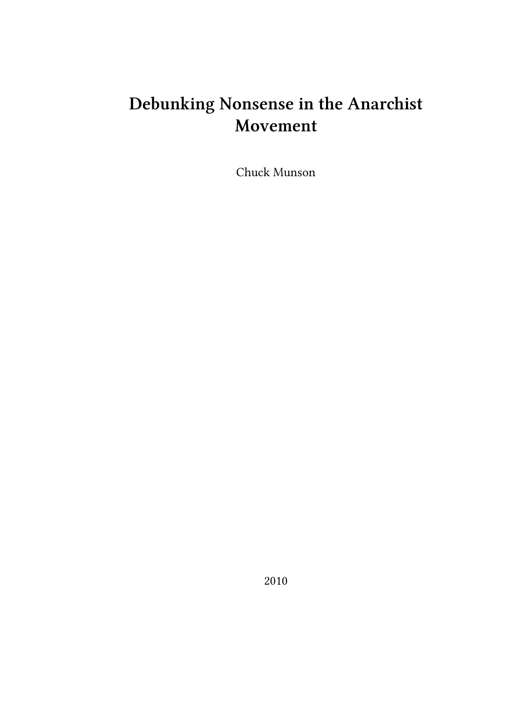# **Debunking Nonsense in the Anarchist Movement**

Chuck Munson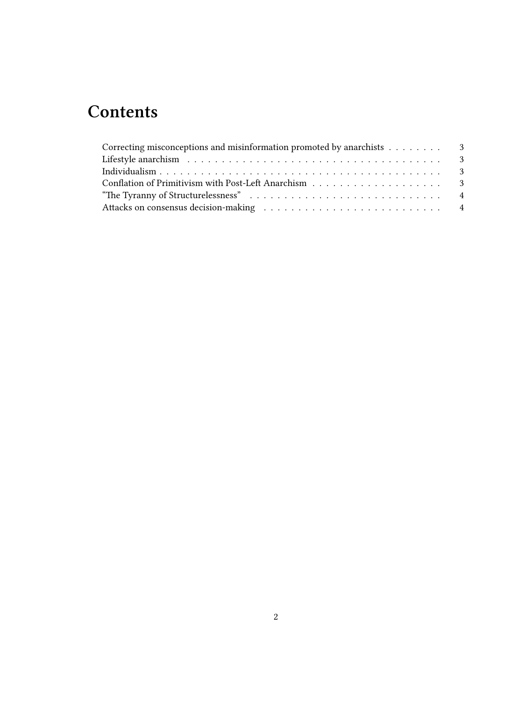## **Contents**

| Correcting misconceptions and misinformation promoted by anarchists $\dots \dots$ |  |
|-----------------------------------------------------------------------------------|--|
|                                                                                   |  |
|                                                                                   |  |
|                                                                                   |  |
|                                                                                   |  |
|                                                                                   |  |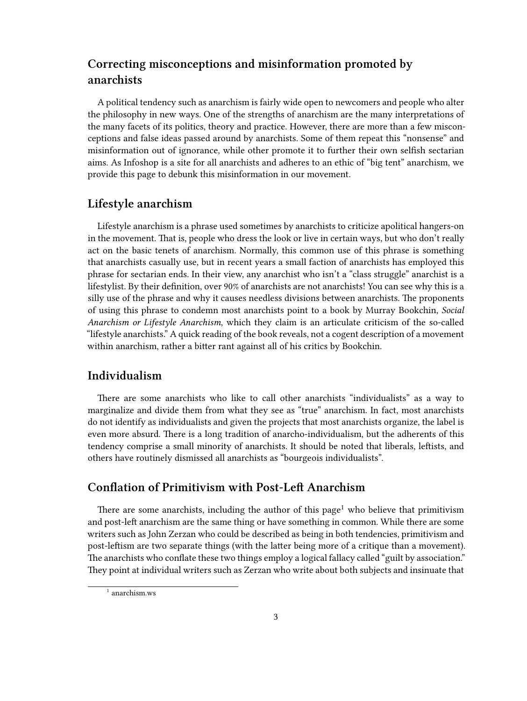### <span id="page-2-0"></span>**Correcting misconceptions and misinformation promoted by anarchists**

A political tendency such as anarchism is fairly wide open to newcomers and people who alter the philosophy in new ways. One of the strengths of anarchism are the many interpretations of the many facets of its politics, theory and practice. However, there are more than a few misconceptions and false ideas passed around by anarchists. Some of them repeat this "nonsense" and misinformation out of ignorance, while other promote it to further their own selfish sectarian aims. As Infoshop is a site for all anarchists and adheres to an ethic of "big tent" anarchism, we provide this page to debunk this misinformation in our movement.

#### <span id="page-2-1"></span>**Lifestyle anarchism**

Lifestyle anarchism is a phrase used sometimes by anarchists to criticize apolitical hangers-on in the movement. That is, people who dress the look or live in certain ways, but who don't really act on the basic tenets of anarchism. Normally, this common use of this phrase is something that anarchists casually use, but in recent years a small faction of anarchists has employed this phrase for sectarian ends. In their view, any anarchist who isn't a "class struggle" anarchist is a lifestylist. By their definition, over 90% of anarchists are not anarchists! You can see why this is a silly use of the phrase and why it causes needless divisions between anarchists. The proponents of using this phrase to condemn most anarchists point to a book by Murray Bookchin, *Social Anarchism or Lifestyle Anarchism*, which they claim is an articulate criticism of the so-called "lifestyle anarchists." A quick reading of the book reveals, not a cogent description of a movement within anarchism, rather a bitter rant against all of his critics by Bookchin.

#### <span id="page-2-2"></span>**Individualism**

There are some anarchists who like to call other anarchists "individualists" as a way to marginalize and divide them from what they see as "true" anarchism. In fact, most anarchists do not identify as individualists and given the projects that most anarchists organize, the label is even more absurd. There is a long tradition of anarcho-individualism, but the adherents of this tendency comprise a small minority of anarchists. It should be noted that liberals, leftists, and others have routinely dismissed all anarchists as "bourgeois individualists".

#### <span id="page-2-3"></span>**Conflation of Primitivism with Post-Left Anarchism**

There are some anarchists, including the author of this page<sup>1</sup> who believe that primitivism and post-left anarchism are the same thing or have something in common. While there are some writers such as John Zerzan who could be described as being in both tendencies, primitivism and post-leftism are two separate things (with the latter being more of a critique than a movement). The anarchists who conflate these two things employ a logical fallacy called "guilt by association." They point at individual writers such as Zerzan who write about both subjects and insinuate that

 $^{\rm 1}$ [anarchism.ws](http://anarchism.ws/postleft.html)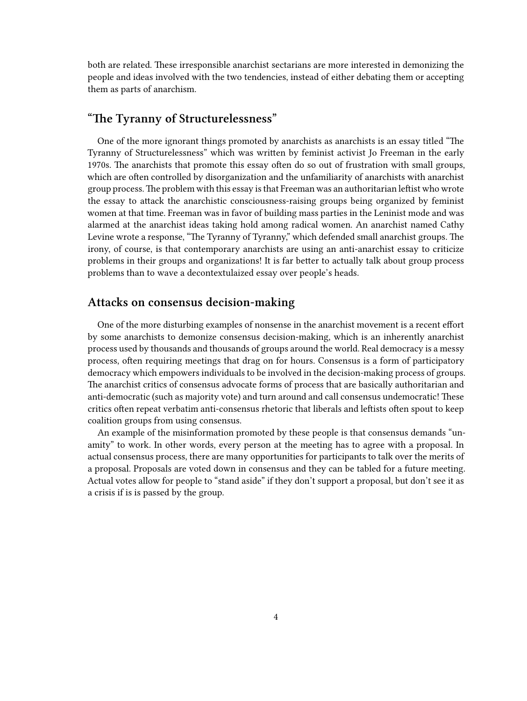both are related. These irresponsible anarchist sectarians are more interested in demonizing the people and ideas involved with the two tendencies, instead of either debating them or accepting them as parts of anarchism.

#### <span id="page-3-0"></span>**"The Tyranny of Structurelessness"**

One of the more ignorant things promoted by anarchists as anarchists is an essay titled "The Tyranny of Structurelessness" which was written by feminist activist Jo Freeman in the early 1970s. The anarchists that promote this essay often do so out of frustration with small groups, which are often controlled by disorganization and the unfamiliarity of anarchists with anarchist group process.The problem with this essay is that Freeman was an authoritarian leftist who wrote the essay to attack the anarchistic consciousness-raising groups being organized by feminist women at that time. Freeman was in favor of building mass parties in the Leninist mode and was alarmed at the anarchist ideas taking hold among radical women. An anarchist named Cathy Levine wrote a response, "The Tyranny of Tyranny," which defended small anarchist groups. The irony, of course, is that contemporary anarchists are using an anti-anarchist essay to criticize problems in their groups and organizations! It is far better to actually talk about group process problems than to wave a decontextulaized essay over people's heads.

#### <span id="page-3-1"></span>**Attacks on consensus decision-making**

One of the more disturbing examples of nonsense in the anarchist movement is a recent effort by some anarchists to demonize consensus decision-making, which is an inherently anarchist process used by thousands and thousands of groups around the world. Real democracy is a messy process, often requiring meetings that drag on for hours. Consensus is a form of participatory democracy which empowers individuals to be involved in the decision-making process of groups. The anarchist critics of consensus advocate forms of process that are basically authoritarian and anti-democratic (such as majority vote) and turn around and call consensus undemocratic! These critics often repeat verbatim anti-consensus rhetoric that liberals and leftists often spout to keep coalition groups from using consensus.

An example of the misinformation promoted by these people is that consensus demands "unamity" to work. In other words, every person at the meeting has to agree with a proposal. In actual consensus process, there are many opportunities for participants to talk over the merits of a proposal. Proposals are voted down in consensus and they can be tabled for a future meeting. Actual votes allow for people to "stand aside" if they don't support a proposal, but don't see it as a crisis if is is passed by the group.